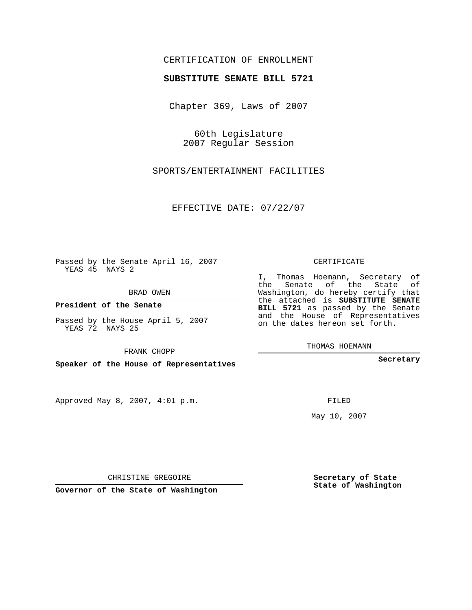## CERTIFICATION OF ENROLLMENT

## **SUBSTITUTE SENATE BILL 5721**

Chapter 369, Laws of 2007

60th Legislature 2007 Regular Session

SPORTS/ENTERTAINMENT FACILITIES

EFFECTIVE DATE: 07/22/07

Passed by the Senate April 16, 2007 YEAS 45 NAYS 2

BRAD OWEN

**President of the Senate**

Passed by the House April 5, 2007 YEAS 72 NAYS 25

FRANK CHOPP

**Speaker of the House of Representatives**

Approved May 8, 2007, 4:01 p.m.

CERTIFICATE

I, Thomas Hoemann, Secretary of the Senate of the State of Washington, do hereby certify that the attached is **SUBSTITUTE SENATE BILL 5721** as passed by the Senate and the House of Representatives on the dates hereon set forth.

THOMAS HOEMANN

**Secretary**

FILED

May 10, 2007

**Secretary of State State of Washington**

CHRISTINE GREGOIRE

**Governor of the State of Washington**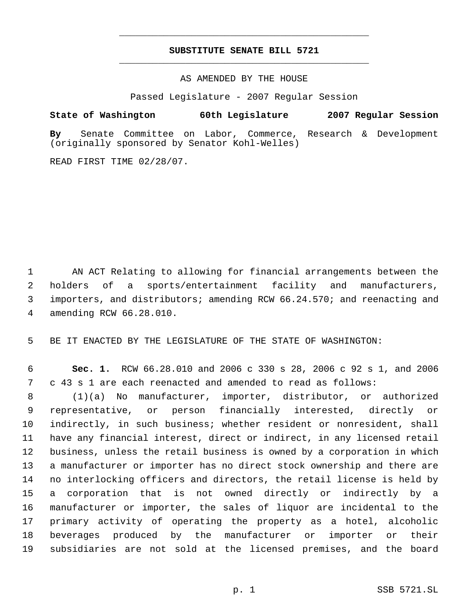## **SUBSTITUTE SENATE BILL 5721** \_\_\_\_\_\_\_\_\_\_\_\_\_\_\_\_\_\_\_\_\_\_\_\_\_\_\_\_\_\_\_\_\_\_\_\_\_\_\_\_\_\_\_\_\_

\_\_\_\_\_\_\_\_\_\_\_\_\_\_\_\_\_\_\_\_\_\_\_\_\_\_\_\_\_\_\_\_\_\_\_\_\_\_\_\_\_\_\_\_\_

AS AMENDED BY THE HOUSE

Passed Legislature - 2007 Regular Session

**State of Washington 60th Legislature 2007 Regular Session**

**By** Senate Committee on Labor, Commerce, Research & Development (originally sponsored by Senator Kohl-Welles)

READ FIRST TIME 02/28/07.

 AN ACT Relating to allowing for financial arrangements between the holders of a sports/entertainment facility and manufacturers, importers, and distributors; amending RCW 66.24.570; and reenacting and amending RCW 66.28.010.

BE IT ENACTED BY THE LEGISLATURE OF THE STATE OF WASHINGTON:

 **Sec. 1.** RCW 66.28.010 and 2006 c 330 s 28, 2006 c 92 s 1, and 2006 c 43 s 1 are each reenacted and amended to read as follows:

 (1)(a) No manufacturer, importer, distributor, or authorized representative, or person financially interested, directly or indirectly, in such business; whether resident or nonresident, shall have any financial interest, direct or indirect, in any licensed retail business, unless the retail business is owned by a corporation in which a manufacturer or importer has no direct stock ownership and there are no interlocking officers and directors, the retail license is held by a corporation that is not owned directly or indirectly by a manufacturer or importer, the sales of liquor are incidental to the primary activity of operating the property as a hotel, alcoholic beverages produced by the manufacturer or importer or their subsidiaries are not sold at the licensed premises, and the board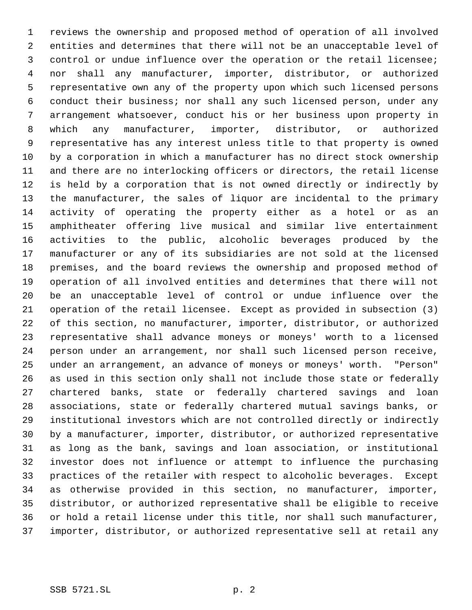reviews the ownership and proposed method of operation of all involved entities and determines that there will not be an unacceptable level of control or undue influence over the operation or the retail licensee; nor shall any manufacturer, importer, distributor, or authorized representative own any of the property upon which such licensed persons conduct their business; nor shall any such licensed person, under any arrangement whatsoever, conduct his or her business upon property in which any manufacturer, importer, distributor, or authorized representative has any interest unless title to that property is owned by a corporation in which a manufacturer has no direct stock ownership and there are no interlocking officers or directors, the retail license is held by a corporation that is not owned directly or indirectly by the manufacturer, the sales of liquor are incidental to the primary activity of operating the property either as a hotel or as an amphitheater offering live musical and similar live entertainment activities to the public, alcoholic beverages produced by the manufacturer or any of its subsidiaries are not sold at the licensed premises, and the board reviews the ownership and proposed method of operation of all involved entities and determines that there will not be an unacceptable level of control or undue influence over the operation of the retail licensee. Except as provided in subsection (3) of this section, no manufacturer, importer, distributor, or authorized representative shall advance moneys or moneys' worth to a licensed person under an arrangement, nor shall such licensed person receive, under an arrangement, an advance of moneys or moneys' worth. "Person" as used in this section only shall not include those state or federally chartered banks, state or federally chartered savings and loan associations, state or federally chartered mutual savings banks, or institutional investors which are not controlled directly or indirectly by a manufacturer, importer, distributor, or authorized representative as long as the bank, savings and loan association, or institutional investor does not influence or attempt to influence the purchasing practices of the retailer with respect to alcoholic beverages. Except as otherwise provided in this section, no manufacturer, importer, distributor, or authorized representative shall be eligible to receive or hold a retail license under this title, nor shall such manufacturer, importer, distributor, or authorized representative sell at retail any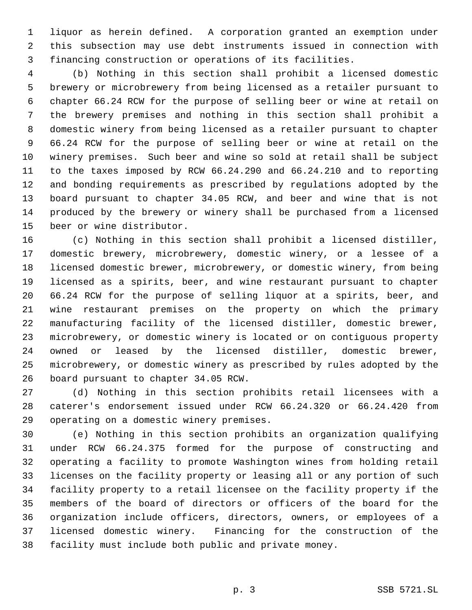liquor as herein defined. A corporation granted an exemption under this subsection may use debt instruments issued in connection with financing construction or operations of its facilities.

 (b) Nothing in this section shall prohibit a licensed domestic brewery or microbrewery from being licensed as a retailer pursuant to chapter 66.24 RCW for the purpose of selling beer or wine at retail on the brewery premises and nothing in this section shall prohibit a domestic winery from being licensed as a retailer pursuant to chapter 66.24 RCW for the purpose of selling beer or wine at retail on the winery premises. Such beer and wine so sold at retail shall be subject to the taxes imposed by RCW 66.24.290 and 66.24.210 and to reporting and bonding requirements as prescribed by regulations adopted by the board pursuant to chapter 34.05 RCW, and beer and wine that is not produced by the brewery or winery shall be purchased from a licensed beer or wine distributor.

 (c) Nothing in this section shall prohibit a licensed distiller, domestic brewery, microbrewery, domestic winery, or a lessee of a licensed domestic brewer, microbrewery, or domestic winery, from being licensed as a spirits, beer, and wine restaurant pursuant to chapter 66.24 RCW for the purpose of selling liquor at a spirits, beer, and wine restaurant premises on the property on which the primary manufacturing facility of the licensed distiller, domestic brewer, microbrewery, or domestic winery is located or on contiguous property owned or leased by the licensed distiller, domestic brewer, microbrewery, or domestic winery as prescribed by rules adopted by the board pursuant to chapter 34.05 RCW.

 (d) Nothing in this section prohibits retail licensees with a caterer's endorsement issued under RCW 66.24.320 or 66.24.420 from operating on a domestic winery premises.

 (e) Nothing in this section prohibits an organization qualifying under RCW 66.24.375 formed for the purpose of constructing and operating a facility to promote Washington wines from holding retail licenses on the facility property or leasing all or any portion of such facility property to a retail licensee on the facility property if the members of the board of directors or officers of the board for the organization include officers, directors, owners, or employees of a licensed domestic winery. Financing for the construction of the facility must include both public and private money.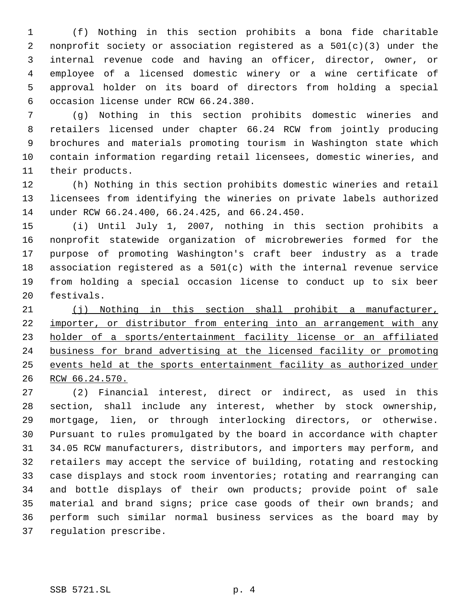(f) Nothing in this section prohibits a bona fide charitable nonprofit society or association registered as a 501(c)(3) under the internal revenue code and having an officer, director, owner, or employee of a licensed domestic winery or a wine certificate of approval holder on its board of directors from holding a special occasion license under RCW 66.24.380.

 (g) Nothing in this section prohibits domestic wineries and retailers licensed under chapter 66.24 RCW from jointly producing brochures and materials promoting tourism in Washington state which contain information regarding retail licensees, domestic wineries, and their products.

 (h) Nothing in this section prohibits domestic wineries and retail licensees from identifying the wineries on private labels authorized under RCW 66.24.400, 66.24.425, and 66.24.450.

 (i) Until July 1, 2007, nothing in this section prohibits a nonprofit statewide organization of microbreweries formed for the purpose of promoting Washington's craft beer industry as a trade association registered as a 501(c) with the internal revenue service from holding a special occasion license to conduct up to six beer festivals.

 (j) Nothing in this section shall prohibit a manufacturer, importer, or distributor from entering into an arrangement with any holder of a sports/entertainment facility license or an affiliated business for brand advertising at the licensed facility or promoting events held at the sports entertainment facility as authorized under RCW 66.24.570.

 (2) Financial interest, direct or indirect, as used in this section, shall include any interest, whether by stock ownership, mortgage, lien, or through interlocking directors, or otherwise. Pursuant to rules promulgated by the board in accordance with chapter 34.05 RCW manufacturers, distributors, and importers may perform, and retailers may accept the service of building, rotating and restocking case displays and stock room inventories; rotating and rearranging can and bottle displays of their own products; provide point of sale material and brand signs; price case goods of their own brands; and perform such similar normal business services as the board may by regulation prescribe.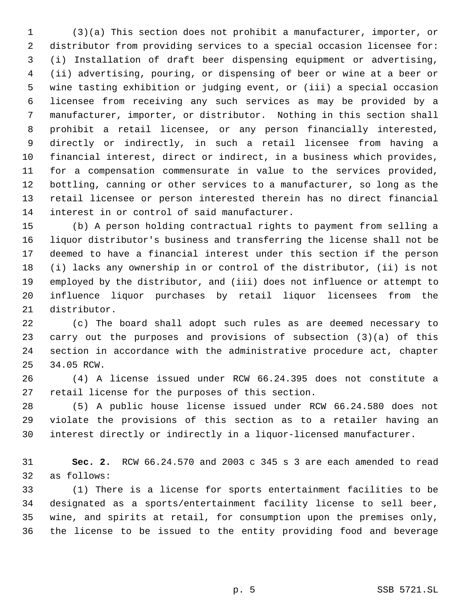(3)(a) This section does not prohibit a manufacturer, importer, or distributor from providing services to a special occasion licensee for: (i) Installation of draft beer dispensing equipment or advertising, (ii) advertising, pouring, or dispensing of beer or wine at a beer or wine tasting exhibition or judging event, or (iii) a special occasion licensee from receiving any such services as may be provided by a manufacturer, importer, or distributor. Nothing in this section shall prohibit a retail licensee, or any person financially interested, directly or indirectly, in such a retail licensee from having a financial interest, direct or indirect, in a business which provides, for a compensation commensurate in value to the services provided, bottling, canning or other services to a manufacturer, so long as the retail licensee or person interested therein has no direct financial interest in or control of said manufacturer.

 (b) A person holding contractual rights to payment from selling a liquor distributor's business and transferring the license shall not be deemed to have a financial interest under this section if the person (i) lacks any ownership in or control of the distributor, (ii) is not employed by the distributor, and (iii) does not influence or attempt to influence liquor purchases by retail liquor licensees from the distributor.

 (c) The board shall adopt such rules as are deemed necessary to carry out the purposes and provisions of subsection (3)(a) of this section in accordance with the administrative procedure act, chapter 34.05 RCW.

 (4) A license issued under RCW 66.24.395 does not constitute a retail license for the purposes of this section.

 (5) A public house license issued under RCW 66.24.580 does not violate the provisions of this section as to a retailer having an interest directly or indirectly in a liquor-licensed manufacturer.

 **Sec. 2.** RCW 66.24.570 and 2003 c 345 s 3 are each amended to read as follows:

 (1) There is a license for sports entertainment facilities to be designated as a sports/entertainment facility license to sell beer, wine, and spirits at retail, for consumption upon the premises only, the license to be issued to the entity providing food and beverage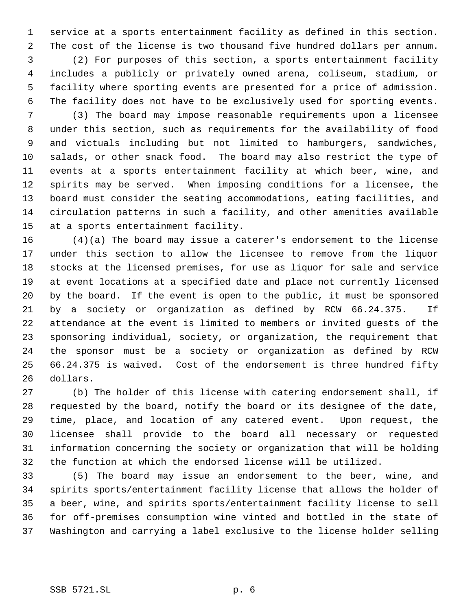service at a sports entertainment facility as defined in this section. The cost of the license is two thousand five hundred dollars per annum.

 (2) For purposes of this section, a sports entertainment facility includes a publicly or privately owned arena, coliseum, stadium, or facility where sporting events are presented for a price of admission. The facility does not have to be exclusively used for sporting events.

 (3) The board may impose reasonable requirements upon a licensee under this section, such as requirements for the availability of food and victuals including but not limited to hamburgers, sandwiches, salads, or other snack food. The board may also restrict the type of events at a sports entertainment facility at which beer, wine, and spirits may be served. When imposing conditions for a licensee, the board must consider the seating accommodations, eating facilities, and circulation patterns in such a facility, and other amenities available at a sports entertainment facility.

 (4)(a) The board may issue a caterer's endorsement to the license under this section to allow the licensee to remove from the liquor stocks at the licensed premises, for use as liquor for sale and service at event locations at a specified date and place not currently licensed by the board. If the event is open to the public, it must be sponsored by a society or organization as defined by RCW 66.24.375. If attendance at the event is limited to members or invited guests of the sponsoring individual, society, or organization, the requirement that the sponsor must be a society or organization as defined by RCW 66.24.375 is waived. Cost of the endorsement is three hundred fifty dollars.

 (b) The holder of this license with catering endorsement shall, if requested by the board, notify the board or its designee of the date, time, place, and location of any catered event. Upon request, the licensee shall provide to the board all necessary or requested information concerning the society or organization that will be holding the function at which the endorsed license will be utilized.

 (5) The board may issue an endorsement to the beer, wine, and spirits sports/entertainment facility license that allows the holder of a beer, wine, and spirits sports/entertainment facility license to sell for off-premises consumption wine vinted and bottled in the state of Washington and carrying a label exclusive to the license holder selling